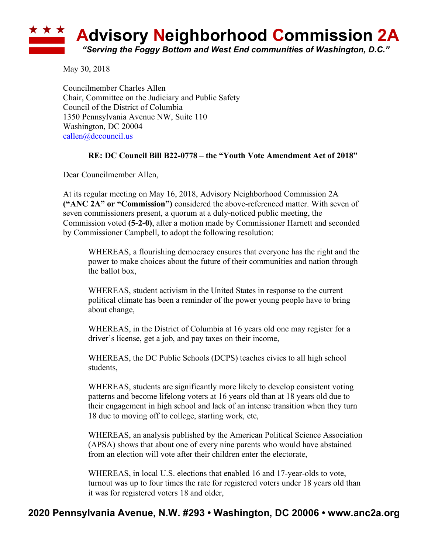

May 30, 2018

Councilmember Charles Allen Chair, Committee on the Judiciary and Public Safety Council of the District of Columbia 1350 Pennsylvania Avenue NW, Suite 110 Washington, DC 20004 callen@dccouncil.us

## **RE: DC Council Bill B22-0778 – the "Youth Vote Amendment Act of 2018"**

Dear Councilmember Allen,

At its regular meeting on May 16, 2018, Advisory Neighborhood Commission 2A **("ANC 2A" or "Commission")** considered the above-referenced matter. With seven of seven commissioners present, a quorum at a duly-noticed public meeting, the Commission voted **(5-2-0)**, after a motion made by Commissioner Harnett and seconded by Commissioner Campbell, to adopt the following resolution:

WHEREAS, a flourishing democracy ensures that everyone has the right and the power to make choices about the future of their communities and nation through the ballot box,

WHEREAS, student activism in the United States in response to the current political climate has been a reminder of the power young people have to bring about change,

WHEREAS, in the District of Columbia at 16 years old one may register for a driver's license, get a job, and pay taxes on their income,

WHEREAS, the DC Public Schools (DCPS) teaches civics to all high school students,

WHEREAS, students are significantly more likely to develop consistent voting patterns and become lifelong voters at 16 years old than at 18 years old due to their engagement in high school and lack of an intense transition when they turn 18 due to moving off to college, starting work, etc,

WHEREAS, an analysis published by the American Political Science Association (APSA) shows that about one of every nine parents who would have abstained from an election will vote after their children enter the electorate,

WHEREAS, in local U.S. elections that enabled 16 and 17-year-olds to vote, turnout was up to four times the rate for registered voters under 18 years old than it was for registered voters 18 and older,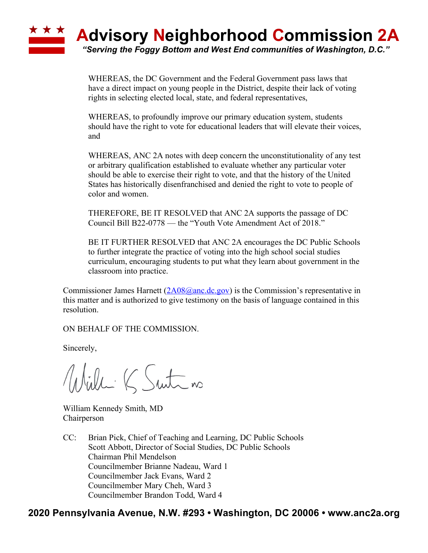

WHEREAS, the DC Government and the Federal Government pass laws that have a direct impact on young people in the District, despite their lack of voting rights in selecting elected local, state, and federal representatives,

WHEREAS, to profoundly improve our primary education system, students should have the right to vote for educational leaders that will elevate their voices, and

WHEREAS, ANC 2A notes with deep concern the unconstitutionality of any test or arbitrary qualification established to evaluate whether any particular voter should be able to exercise their right to vote, and that the history of the United States has historically disenfranchised and denied the right to vote to people of color and women.

THEREFORE, BE IT RESOLVED that ANC 2A supports the passage of DC Council Bill B22-0778 — the "Youth Vote Amendment Act of 2018."

BE IT FURTHER RESOLVED that ANC 2A encourages the DC Public Schools to further integrate the practice of voting into the high school social studies curriculum, encouraging students to put what they learn about government in the classroom into practice.

Commissioner James Harnett  $(2A08@anc$ .dc.gov) is the Commission's representative in this matter and is authorized to give testimony on the basis of language contained in this resolution.

ON BEHALF OF THE COMMISSION.

Sincerely,

Willi K Suite no

William Kennedy Smith, MD Chairperson

CC: Brian Pick, Chief of Teaching and Learning, DC Public Schools Scott Abbott, Director of Social Studies, DC Public Schools Chairman Phil Mendelson Councilmember Brianne Nadeau, Ward 1 Councilmember Jack Evans, Ward 2 Councilmember Mary Cheh, Ward 3 Councilmember Brandon Todd, Ward 4

## **2020 Pennsylvania Avenue, N.W. #293 • Washington, DC 20006 • www.anc2a.org**